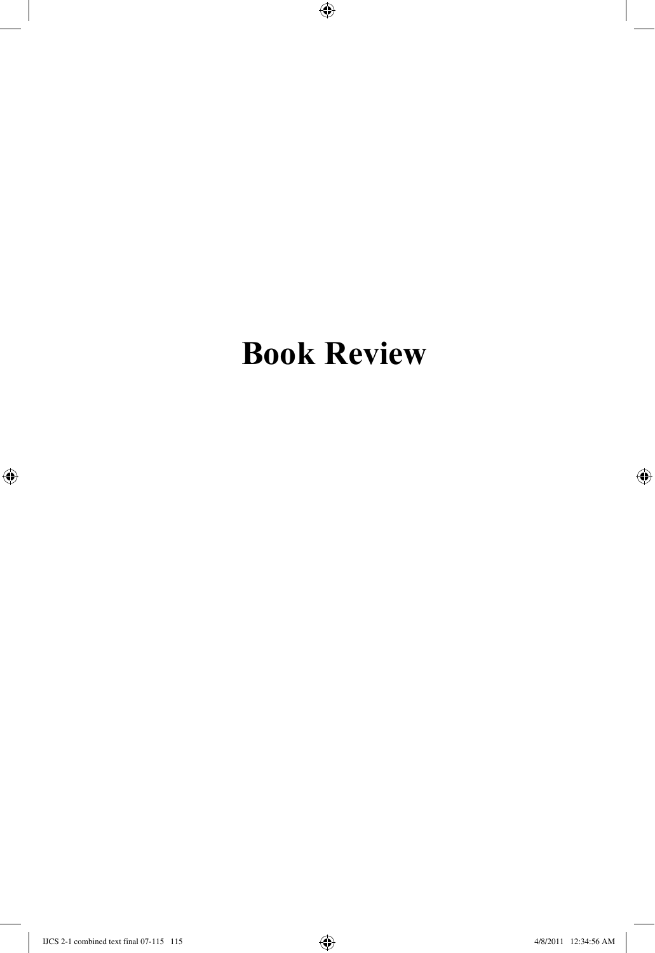## **Book Review**

 $\bigoplus$ 

 $\bigoplus$ 

 $\bigoplus$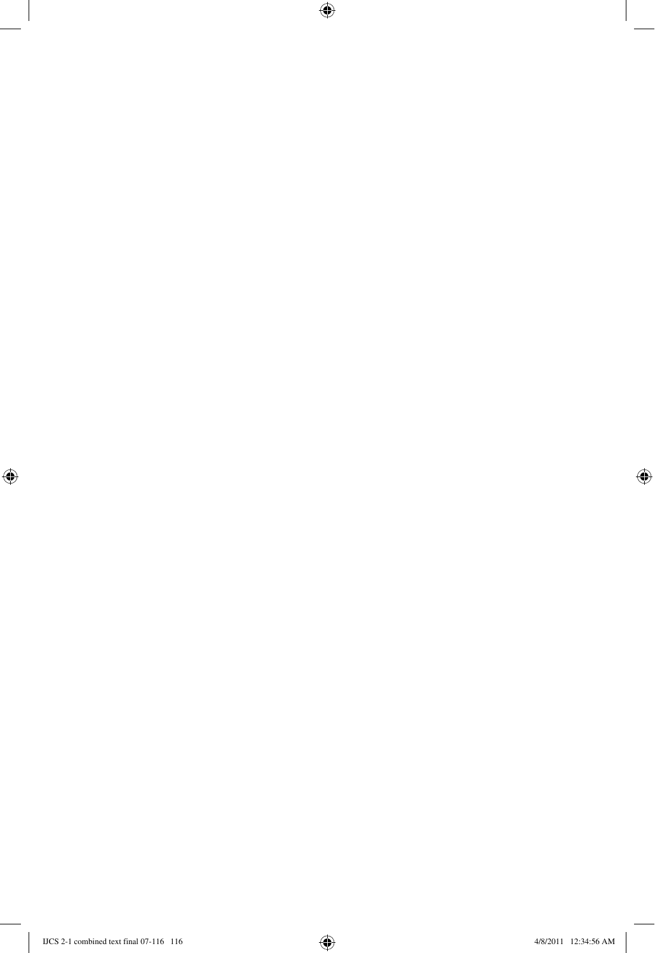

 $\overline{\phantom{a}}$ 

 $\bigoplus$ 

 $\bigoplus$ 

 $\overline{\phantom{a}}$ 

 $\bigoplus$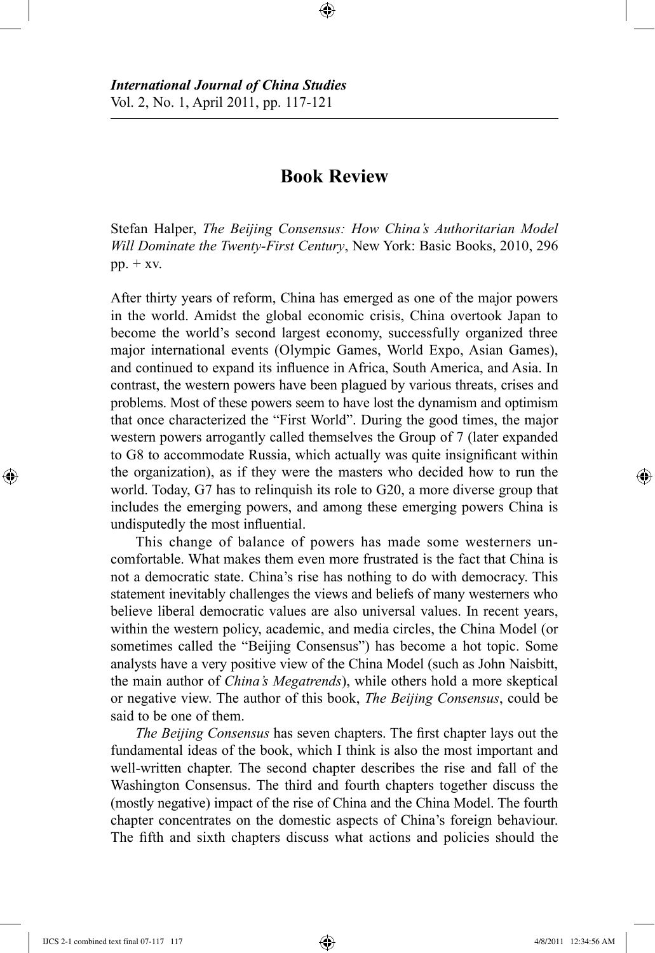## **Book Review**

⊕

Stefan Halper, *The Beijing Consensus: How China's Authoritarian Model Will Dominate the Twenty-First Century*, New York: Basic Books, 2010, 296  $pp. + xy.$ 

After thirty years of reform, China has emerged as one of the major powers in the world. Amidst the global economic crisis, China overtook Japan to become the world's second largest economy, successfully organized three major international events (Olympic Games, World Expo, Asian Games), and continued to expand its influence in Africa, South America, and Asia. In contrast, the western powers have been plagued by various threats, crises and problems. Most of these powers seem to have lost the dynamism and optimism that once characterized the "First World". During the good times, the major western powers arrogantly called themselves the Group of 7 (later expanded to G8 to accommodate Russia, which actually was quite insignificant within the organization), as if they were the masters who decided how to run the world. Today, G7 has to relinquish its role to G20, a more diverse group that includes the emerging powers, and among these emerging powers China is undisputedly the most influential.

This change of balance of powers has made some westerners uncomfortable. What makes them even more frustrated is the fact that China is not a democratic state. China's rise has nothing to do with democracy. This statement inevitably challenges the views and beliefs of many westerners who believe liberal democratic values are also universal values. In recent years, within the western policy, academic, and media circles, the China Model (or sometimes called the "Beijing Consensus") has become a hot topic. Some analysts have a very positive view of the China Model (such as John Naisbitt, the main author of *China's Megatrends*), while others hold a more skeptical or negative view. The author of this book, *The Beijing Consensus*, could be said to be one of them.

*The Beijing Consensus* has seven chapters. The first chapter lays out the fundamental ideas of the book, which I think is also the most important and well-written chapter. The second chapter describes the rise and fall of the Washington Consensus. The third and fourth chapters together discuss the (mostly negative) impact of the rise of China and the China Model. The fourth chapter concentrates on the domestic aspects of China's foreign behaviour. The fifth and sixth chapters discuss what actions and policies should the

⊕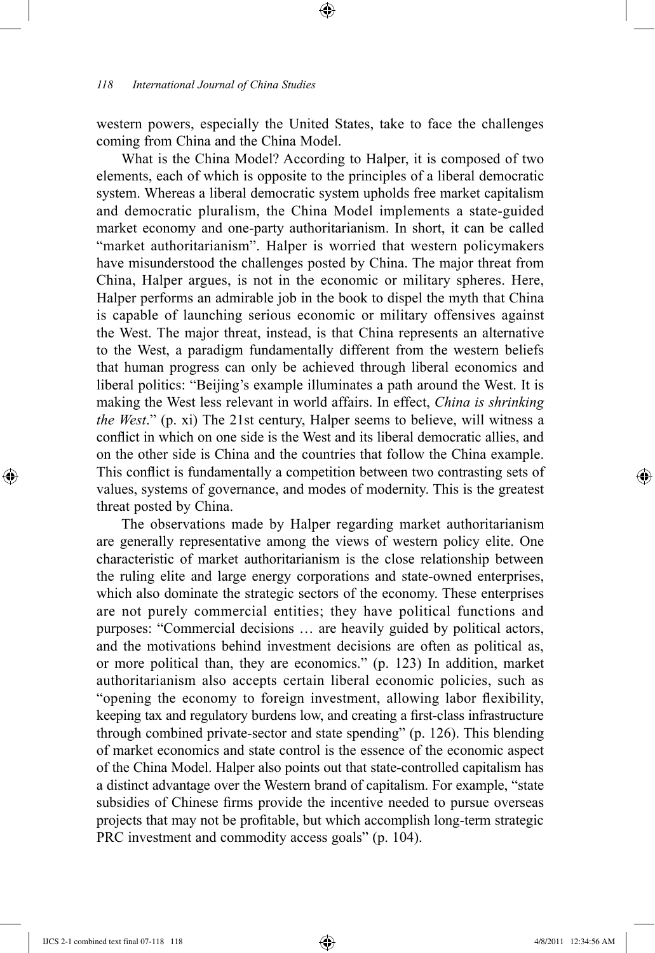western powers, especially the United States, take to face the challenges coming from China and the China Model.

⊕

What is the China Model? According to Halper, it is composed of two elements, each of which is opposite to the principles of a liberal democratic system. Whereas a liberal democratic system upholds free market capitalism and democratic pluralism, the China Model implements a state-guided market economy and one-party authoritarianism. In short, it can be called "market authoritarianism". Halper is worried that western policymakers have misunderstood the challenges posted by China. The major threat from China, Halper argues, is not in the economic or military spheres. Here, Halper performs an admirable job in the book to dispel the myth that China is capable of launching serious economic or military offensives against the West. The major threat, instead, is that China represents an alternative to the West, a paradigm fundamentally different from the western beliefs that human progress can only be achieved through liberal economics and liberal politics: "Beijing's example illuminates a path around the West. It is making the West less relevant in world affairs. In effect, *China is shrinking the West*." (p. xi) The 21st century, Halper seems to believe, will witness a conflict in which on one side is the West and its liberal democratic allies, and on the other side is China and the countries that follow the China example. This conflict is fundamentally a competition between two contrasting sets of values, systems of governance, and modes of modernity. This is the greatest threat posted by China.

The observations made by Halper regarding market authoritarianism are generally representative among the views of western policy elite. One characteristic of market authoritarianism is the close relationship between the ruling elite and large energy corporations and state-owned enterprises, which also dominate the strategic sectors of the economy. These enterprises are not purely commercial entities; they have political functions and purposes: "Commercial decisions … are heavily guided by political actors, and the motivations behind investment decisions are often as political as, or more political than, they are economics." (p. 123) In addition, market authoritarianism also accepts certain liberal economic policies, such as "opening the economy to foreign investment, allowing labor flexibility, keeping tax and regulatory burdens low, and creating a first-class infrastructure through combined private-sector and state spending" (p. 126). This blending of market economics and state control is the essence of the economic aspect of the China Model. Halper also points out that state-controlled capitalism has a distinct advantage over the Western brand of capitalism. For example, "state subsidies of Chinese firms provide the incentive needed to pursue overseas projects that may not be profitable, but which accomplish long-term strategic PRC investment and commodity access goals" (p. 104).

⊕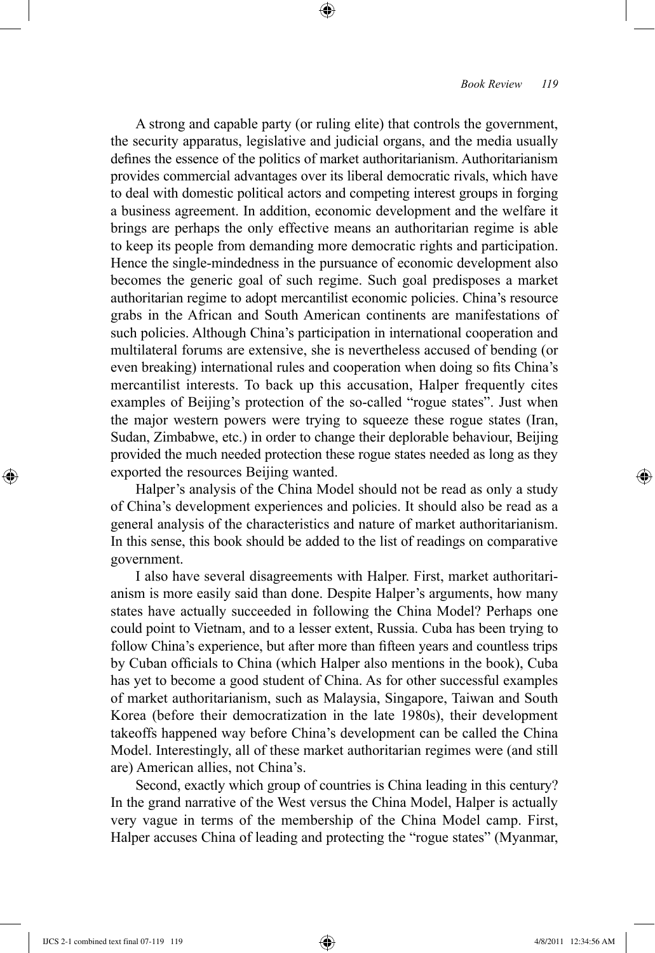A strong and capable party (or ruling elite) that controls the government, the security apparatus, legislative and judicial organs, and the media usually defines the essence of the politics of market authoritarianism. Authoritarianism provides commercial advantages over its liberal democratic rivals, which have to deal with domestic political actors and competing interest groups in forging a business agreement. In addition, economic development and the welfare it brings are perhaps the only effective means an authoritarian regime is able to keep its people from demanding more democratic rights and participation. Hence the single-mindedness in the pursuance of economic development also becomes the generic goal of such regime. Such goal predisposes a market authoritarian regime to adopt mercantilist economic policies. China's resource grabs in the African and South American continents are manifestations of such policies. Although China's participation in international cooperation and multilateral forums are extensive, she is nevertheless accused of bending (or even breaking) international rules and cooperation when doing so fits China's mercantilist interests. To back up this accusation, Halper frequently cites examples of Beijing's protection of the so-called "rogue states". Just when the major western powers were trying to squeeze these rogue states (Iran, Sudan, Zimbabwe, etc.) in order to change their deplorable behaviour, Beijing provided the much needed protection these rogue states needed as long as they exported the resources Beijing wanted.

⊕

Halper's analysis of the China Model should not be read as only a study of China's development experiences and policies. It should also be read as a general analysis of the characteristics and nature of market authoritarianism. In this sense, this book should be added to the list of readings on comparative government.

I also have several disagreements with Halper. First, market authoritarianism is more easily said than done. Despite Halper's arguments, how many states have actually succeeded in following the China Model? Perhaps one could point to Vietnam, and to a lesser extent, Russia. Cuba has been trying to follow China's experience, but after more than fifteen years and countless trips by Cuban officials to China (which Halper also mentions in the book), Cuba has yet to become a good student of China. As for other successful examples of market authoritarianism, such as Malaysia, Singapore, Taiwan and South Korea (before their democratization in the late 1980s), their development takeoffs happened way before China's development can be called the China Model. Interestingly, all of these market authoritarian regimes were (and still are) American allies, not China's.

Second, exactly which group of countries is China leading in this century? In the grand narrative of the West versus the China Model, Halper is actually very vague in terms of the membership of the China Model camp. First, Halper accuses China of leading and protecting the "rogue states" (Myanmar,

IJCS 2-1 combined text final 07-119 119 4/8/2011 12:34:56 AM

⊕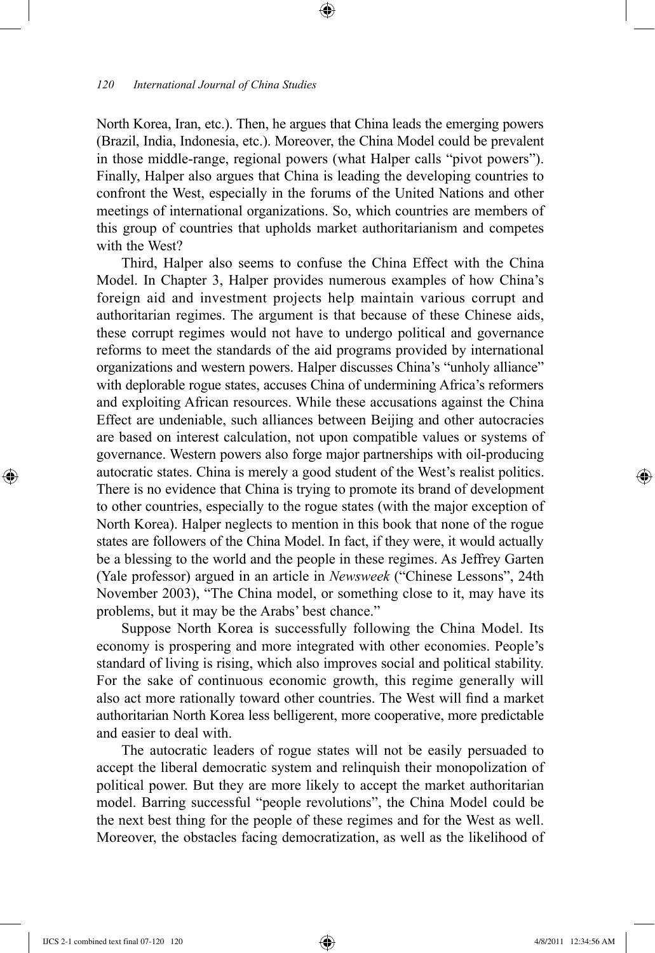## *120 International Journal of China Studies*

North Korea, Iran, etc.). Then, he argues that China leads the emerging powers (Brazil, India, Indonesia, etc.). Moreover, the China Model could be prevalent in those middle-range, regional powers (what Halper calls "pivot powers"). Finally, Halper also argues that China is leading the developing countries to confront the West, especially in the forums of the United Nations and other meetings of international organizations. So, which countries are members of this group of countries that upholds market authoritarianism and competes with the West?

⊕

Third, Halper also seems to confuse the China Effect with the China Model. In Chapter 3, Halper provides numerous examples of how China's foreign aid and investment projects help maintain various corrupt and authoritarian regimes. The argument is that because of these Chinese aids, these corrupt regimes would not have to undergo political and governance reforms to meet the standards of the aid programs provided by international organizations and western powers. Halper discusses China's "unholy alliance" with deplorable rogue states, accuses China of undermining Africa's reformers and exploiting African resources. While these accusations against the China Effect are undeniable, such alliances between Beijing and other autocracies are based on interest calculation, not upon compatible values or systems of governance. Western powers also forge major partnerships with oil-producing autocratic states. China is merely a good student of the West's realist politics. There is no evidence that China is trying to promote its brand of development to other countries, especially to the rogue states (with the major exception of North Korea). Halper neglects to mention in this book that none of the rogue states are followers of the China Model. In fact, if they were, it would actually be a blessing to the world and the people in these regimes. As Jeffrey Garten (Yale professor) argued in an article in *Newsweek* ("Chinese Lessons", 24th November 2003), "The China model, or something close to it, may have its problems, but it may be the Arabs' best chance."

Suppose North Korea is successfully following the China Model. Its economy is prospering and more integrated with other economies. People's standard of living is rising, which also improves social and political stability. For the sake of continuous economic growth, this regime generally will also act more rationally toward other countries. The West will find a market authoritarian North Korea less belligerent, more cooperative, more predictable and easier to deal with.

The autocratic leaders of rogue states will not be easily persuaded to accept the liberal democratic system and relinquish their monopolization of political power. But they are more likely to accept the market authoritarian model. Barring successful "people revolutions", the China Model could be the next best thing for the people of these regimes and for the West as well. Moreover, the obstacles facing democratization, as well as the likelihood of

⊕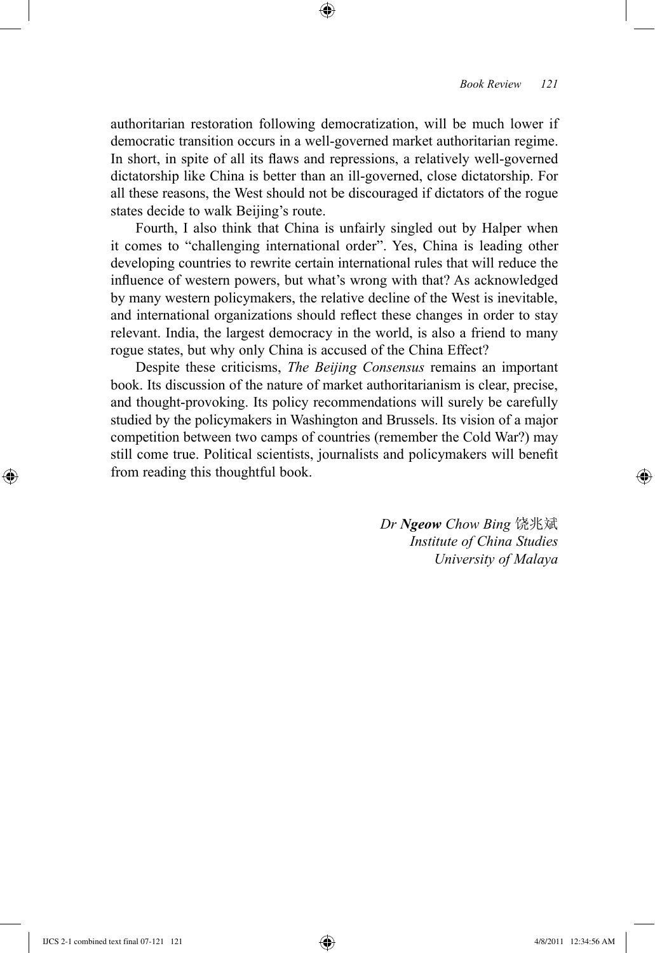authoritarian restoration following democratization, will be much lower if democratic transition occurs in a well-governed market authoritarian regime. In short, in spite of all its flaws and repressions, a relatively well-governed dictatorship like China is better than an ill-governed, close dictatorship. For all these reasons, the West should not be discouraged if dictators of the rogue states decide to walk Beijing's route.

⊕

Fourth, I also think that China is unfairly singled out by Halper when it comes to "challenging international order". Yes, China is leading other developing countries to rewrite certain international rules that will reduce the influence of western powers, but what's wrong with that? As acknowledged by many western policymakers, the relative decline of the West is inevitable, and international organizations should reflect these changes in order to stay relevant. India, the largest democracy in the world, is also a friend to many rogue states, but why only China is accused of the China Effect?

Despite these criticisms, *The Beijing Consensus* remains an important book. Its discussion of the nature of market authoritarianism is clear, precise, and thought-provoking. Its policy recommendations will surely be carefully studied by the policymakers in Washington and Brussels. Its vision of a major competition between two camps of countries (remember the Cold War?) may still come true. Political scientists, journalists and policymakers will benefit from reading this thoughtful book.

> *Dr Ngeow Chow Bing* 饶兆斌 *Institute of China Studies University of Malaya*

⊕